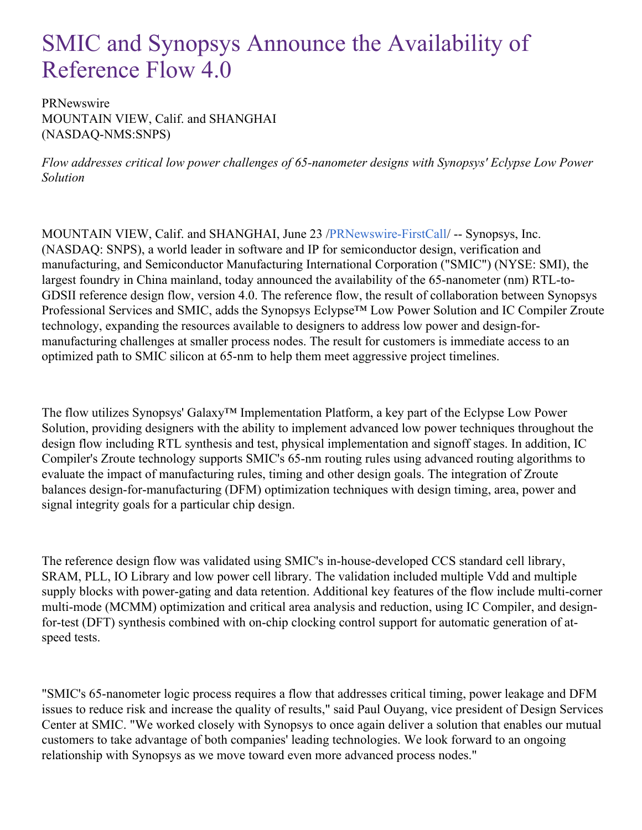# SMIC and Synopsys Announce the Availability of Reference Flow 4.0

PRNewswire MOUNTAIN VIEW, Calif. and SHANGHAI (NASDAQ-NMS:SNPS)

*Flow addresses critical low power challenges of 65-nanometer designs with Synopsys' Eclypse Low Power Solution*

MOUNTAIN VIEW, Calif. and SHANGHAI, June 23 [/PRNewswire-FirstCall](http://www.prnewswire.com/)/ -- Synopsys, Inc. (NASDAQ: SNPS), a world leader in software and IP for semiconductor design, verification and manufacturing, and Semiconductor Manufacturing International Corporation ("SMIC") (NYSE: SMI), the largest foundry in China mainland, today announced the availability of the 65-nanometer (nm) RTL-to-GDSII reference design flow, version 4.0. The reference flow, the result of collaboration between Synopsys Professional Services and SMIC, adds the Synopsys Eclypse™ Low Power Solution and IC Compiler Zroute technology, expanding the resources available to designers to address low power and design-formanufacturing challenges at smaller process nodes. The result for customers is immediate access to an optimized path to SMIC silicon at 65-nm to help them meet aggressive project timelines.

The flow utilizes Synopsys' Galaxy™ Implementation Platform, a key part of the Eclypse Low Power Solution, providing designers with the ability to implement advanced low power techniques throughout the design flow including RTL synthesis and test, physical implementation and signoff stages. In addition, IC Compiler's Zroute technology supports SMIC's 65-nm routing rules using advanced routing algorithms to evaluate the impact of manufacturing rules, timing and other design goals. The integration of Zroute balances design-for-manufacturing (DFM) optimization techniques with design timing, area, power and signal integrity goals for a particular chip design.

The reference design flow was validated using SMIC's in-house-developed CCS standard cell library, SRAM, PLL, IO Library and low power cell library. The validation included multiple Vdd and multiple supply blocks with power-gating and data retention. Additional key features of the flow include multi-corner multi-mode (MCMM) optimization and critical area analysis and reduction, using IC Compiler, and designfor-test (DFT) synthesis combined with on-chip clocking control support for automatic generation of atspeed tests.

"SMIC's 65-nanometer logic process requires a flow that addresses critical timing, power leakage and DFM issues to reduce risk and increase the quality of results," said Paul Ouyang, vice president of Design Services Center at SMIC. "We worked closely with Synopsys to once again deliver a solution that enables our mutual customers to take advantage of both companies' leading technologies. We look forward to an ongoing relationship with Synopsys as we move toward even more advanced process nodes."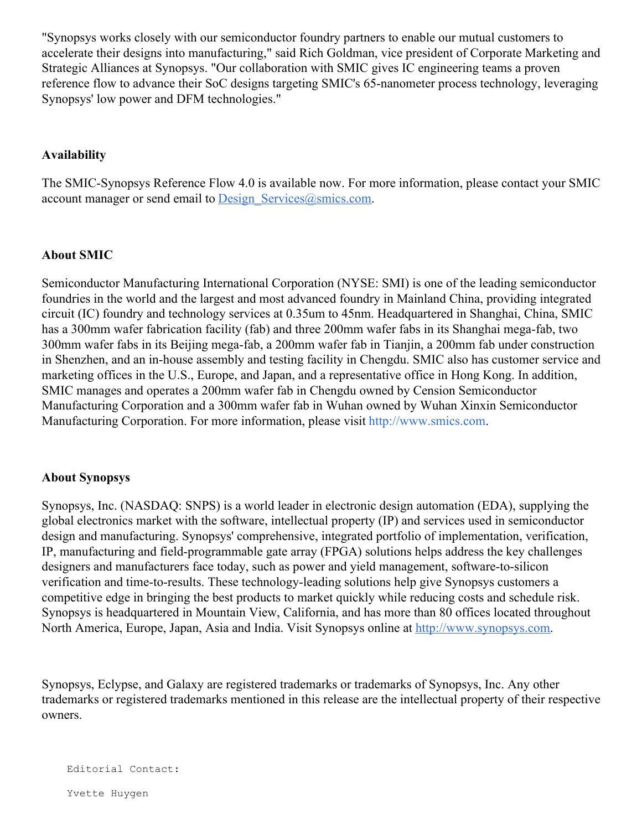"Synopsys works closely with our semiconductor foundry partners to enable our mutual customers to accelerate their designs into manufacturing," said Rich Goldman, vice president of Corporate Marketing and Strategic Alliances at Synopsys. "Our collaboration with SMIC gives IC engineering teams a proven reference flow to advance their SoC designs targeting SMIC's 65-nanometer process technology, leveraging Synopsys' low power and DFM technologies."

## **Availability**

The SMIC-Synopsys Reference Flow 4.0 is available now. For more information, please contact your SMIC account manager or send email to Design Services $@s$ mics.com.

### **About SMIC**

Semiconductor Manufacturing International Corporation (NYSE: SMI) is one of the leading semiconductor foundries in the world and the largest and most advanced foundry in Mainland China, providing integrated circuit (IC) foundry and technology services at 0.35um to 45nm. Headquartered in Shanghai, China, SMIC has a 300mm wafer fabrication facility (fab) and three 200mm wafer fabs in its Shanghai mega-fab, two 300mm wafer fabs in its Beijing mega-fab, a 200mm wafer fab in Tianjin, a 200mm fab under construction in Shenzhen, and an in-house assembly and testing facility in Chengdu. SMIC also has customer service and marketing offices in the U.S., Europe, and Japan, and a representative office in Hong Kong. In addition, SMIC manages and operates a 200mm wafer fab in Chengdu owned by Cension Semiconductor Manufacturing Corporation and a 300mm wafer fab in Wuhan owned by Wuhan Xinxin Semiconductor Manufacturing Corporation. For more information, please visit <http://www.smics.com>.

### **About Synopsys**

Synopsys, Inc. (NASDAQ: SNPS) is a world leader in electronic design automation (EDA), supplying the global electronics market with the software, intellectual property (IP) and services used in semiconductor design and manufacturing. Synopsys' comprehensive, integrated portfolio of implementation, verification, IP, manufacturing and field-programmable gate array (FPGA) solutions helps address the key challenges designers and manufacturers face today, such as power and yield management, software-to-silicon verification and time-to-results. These technology-leading solutions help give Synopsys customers a competitive edge in bringing the best products to market quickly while reducing costs and schedule risk. Synopsys is headquartered in Mountain View, California, and has more than 80 offices located throughout North America, Europe, Japan, Asia and India. Visit Synopsys online at [http://www.synopsys.com](http://www.synopsys.com/).

Synopsys, Eclypse, and Galaxy are registered trademarks or trademarks of Synopsys, Inc. Any other trademarks or registered trademarks mentioned in this release are the intellectual property of their respective owners.